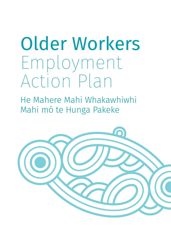# Older Workers Employment Action Plan

He Mahere Mahi Whakawhiwhi Mahi mō te Hunga Pakeke

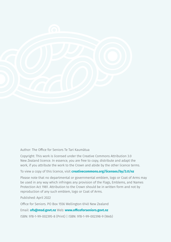

Author: The Office for Seniors Te Tari Kaumātua

Copyright: This work is licensed under the Creative Commons Attribution 3.0 New Zealand licence. In essence, you are free to copy, distribute and adapt the work, if you attribute the work to the Crown and abide by the other licence terms.

To view a copy of this licence, visit **[creativecommons.org/licenses/by/3.0/nz](https://creativecommons.org/licenses/by/3.0/nz/)**

Please note that no departmental or governmental emblem, logo or Coat of Arms may be used in any way which infringes any provision of the Flags, Emblems, and Names Protection Act 1981. Attribution to the Crown should be in written form and not by reproduction of any such emblem, logo or Coat of Arms.

Published: April 2022

Office for Seniors. PO Box 1556 Wellington 6140 New Zealand

Email: **ofs@msd.govt.nz** Web: **www.officeforseniors.govt.nz**

ISBN: 978-1-99-002395-8 (Print) | ISBN: 978-1-99-002398-9 (Web)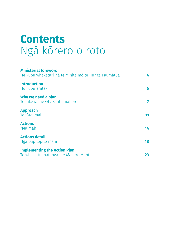### **Contents**  Ngā kōrero o roto

| <b>Ministerial foreword</b><br>He kupu whakataki nā te Minita mō te Hunga Kaumātua | 4  |
|------------------------------------------------------------------------------------|----|
| <b>Introduction</b><br>He kupu arataki                                             | 6  |
| Why we need a plan<br>Te take ia me whakarite mahere                               | 7  |
| <b>Approach</b><br>Te tātai mahi                                                   | 11 |
| <b>Actions</b><br>Ngā mahi                                                         | 14 |
| <b>Actions detail</b><br>Ngā taipitopito mahi                                      | 18 |
| <b>Implementing the Action Plan</b><br>Te whakatinanatanga i te Mahere Mahi        | 23 |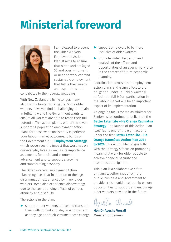# <span id="page-3-0"></span>**Ministerial foreword**



I am pleased to present the Older Workers Employment Action Plan. It aims to ensure that older workers (aged 50 and over) who want or need to work can find sustainable employment that fulfils their needs and aspirations and

contributes to their overall wellbeing.

With New Zealanders living longer, many also want a longer working life. Some older workers, however, find it challenging to remain in fulfilling work. The Government wants to ensure all workers are able to reach their full potential. This action plan is one of the seven supporting population employment action plans for those who consistently experience poor labour market outcomes. It builds on the Government's 2019 **[Employment Strategy](https://www.mbie.govt.nz/dmsdocument/6614-our-employment-strategy-everyone-working-to-deliver-a-productive-sustainable-and-inclusive-new-zealand)**, which recognises the impact that work has on our everyday lives, as well as its importance as a means for social and economic advancement and to support a growing and transforming economy.

The Older Workers Employment Action Plan recognises that in addition to the age discrimination experienced by many older workers, some also experience disadvantage due to the compounding effects of gender, ethnicity and disability.

The actions in the plan:

 $\blacktriangleright$  support older workers to use and transition their skills to find and stay in employment as they age and their circumstances change

- ▶ support employers to be more inclusive of older workers
- ▶ promote wider discussion and analysis of the effects and opportunities of an ageing workforce in the context of future economic planning.

Coordination across other employment action plans and giving effect to the obligation under Te Tiriti o Waitangi to facilitate full Māori participation in the labour market will be an important aspect of its implementation.

An ongoing focus for me as Minister for Seniors is to continue to deliver on the **[Better Later Life – He Oranga Kaumātua](https://officeforseniors.govt.nz/assets/documents/our-work/better-later-life/Better-Later-Life-Strategy/Better-Later-Life-He-Oranga-Kaumatua-2019-to-2034.pdf)  [Strategy](https://officeforseniors.govt.nz/assets/documents/our-work/better-later-life/Better-Later-Life-Strategy/Better-Later-Life-He-Oranga-Kaumatua-2019-to-2034.pdf)**. The launch of this Action Plan itself fulfils one of the eight actions under the first **[Better Later Life – He](https://officeforseniors.govt.nz/better-later-life-strategy/action-plan/)  [Oranga Kaumātua Action Plan 2021](https://officeforseniors.govt.nz/better-later-life-strategy/action-plan/)  [to 2024](https://officeforseniors.govt.nz/better-later-life-strategy/action-plan/)**. This Action Plan aligns fully with the Strategy's focus on promoting meaningful work for older people to achieve financial security and economic participation.

This plan is a collaborative effort, bringing together input from the public, business and government to provide critical guidance to help ensure opportunities to support and encourage older workers now and in the future.

**Hon Dr Ayesha Verrall** Minister for Seniors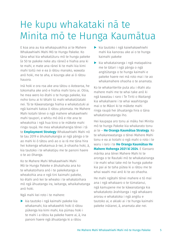### He kupu whakataki nā te Minita mō te Hunga Kaumātua

E koa ana au kia whakapuakihia ai te Mahere Whakawhiwhi Mahi Mō te Hunga Pakeke. Ko tāna whai kia whakatūturu mō te hunga pakeke (e 50 te pakeke neke atu rānei) e hiahia ana ki te mahi, e mate ana rānei ki te mahi kia kimi mahi toitū nei e ea ā rātou manako, wawata anō hoki, me te aha, e kounga ake ai ō rātou hauora.

Inā hoki e ora roa ake ana tātou o Aotearoa, he tokomaha ake anō e hiahia mahi tonu ai. Otiia, he mea wero ko ētahi o te hunga pakeke, kia noho tonu ai ki tētahi tū mahi whakatūtataki nei. Tā te Kāwanatanga hiahia e whakatutuki ai ngā kaimahi katoa ō rātou pitomata. He Mahere Mahi kotahi tēnei o ngā mahere whakawhiwhi mahi taupori, e whitu mō ērā e rite ana te wheakohia i ngā hua kino o te mākete mahi ringa raupā. He mea whakakahangia tēnei i tā te **[Employment Strategy](https://www.mbie.govt.nz/dmsdocument/6614-our-employment-strategy-everyone-working-to-deliver-a-productive-sustainable-and-inclusive-new-zealand)** Whakawhiwhi Mahi nō te tau 2019 e āhukahukangia ai ngā pānga o te ao mahi ki ō tātou anō ao o ia rā me tāna hira hei kokenga whakamua ā-iwi, ā-ohaoha hoki, ā, kia tautoko i te whakatipu me te panoni haere o te ao ōhanga.

Ko te Mahere Mahi Whakawhiwhi Mahi Mō te Hunga Pakeke e āhukahuka ana ko te whakatoihara anō i te pakeketanga e wheakohia ana e ngā tini kaimahi pakeke, ko ētahi anō kei te wheako i te whakatoihara mō ngā āhuatanga ira, iwitanga, whaikahatanga anō hoki.

Ngā mahi kei roto i te mahere:

▶ kia tautoko i ngā kaimahi pakeke kia whakamahi, kia whakawhiti hoki ō rātou pūkenga kia kimi mahi, kia pūmau hoki i te mahi i a rātou ka pakeke haere ai, ā, ina panoni haere ngā āhuatanga ki a rātou

- ▶ kia tautoko i ngā kaiwhakawhiwhi mahi kia kanorau ake ai o te hunga kaimahi pakeke
- ▶ kia whakatairanga i ngā matapakina me te tātari i ngā pānga o ngā angitūtanga o te hunga kaimahi e pakeke haere nei mā roto mai i te ao whakamahere ohaoha o te anamata.

Ko te whakariterite puta atu i ētahi atu mahere mahi me te whai take anō ki ngā kawatau i raro i Te Tiriti o Waitangi kia whakahaere i te whai waahitanga mai o te Māori ki te mākete mahi ringa raupā hei āhuatanga hira o tāna whakatinanatanga iho.

Hei kaupapa aro tonu ai māku hei Minita mō te hunga Pakeke kia whakarato tonu ai te – **[He Oranga Kaumātua Strategy](https://officeforseniors.govt.nz/assets/documents/our-work/better-later-life/Better-Later-Life-Strategy/Better-Later-Life-He-Oranga-Kaumatua-2019-to-2034.pdf)**. Ko te whakarewatanga o tēnei Mahere Mahi tonu e ea ai kotahi o ngā mahi o roto i te waru i raro i te **[He Oranga Kaumātua H](https://officeforseniors.govt.nz/better-later-life-strategy/action-plan/)e Mahere Hohenga 2021 ki 2024**. E tīaroaro mārika ana tēnei Mahere Mahi ki te aronga o te Rautaki mō te whakatairanga i te mahi whai take mō te hunga pakeke kia pai ai te taha pūtea ki a rātou me te whai waahi mai anō ki te ao ohaoha.

He mahi ngātahi tēnei mahere e tō mai ana i ngā whakaaro o te tūmatanui, ngā kamupene me te kāwanatanga kia whakatakoto ārahitanga i ngā whakaaro arorau e whakatoka i ngā angitu e tautoko ai, e akiaki ai i te hunga kaimahi pakeke ināianei, ā, anamata ake nei.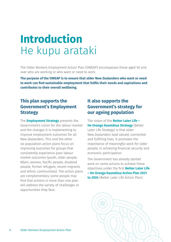### <span id="page-5-0"></span>**Introduction** He kupu arataki

The Older Workers Employment Action Plan (OWEAP) encompasses those aged 50 and over who are working or who want or need to work.

**The purpose of the OWEAP is to ensure that older New Zealanders who want or need to work can find sustainable employment that fulfils their needs and aspirations and contributes to their overall wellbeing.**

#### **This plan supports the Government's Employment Strategy**

The **[Employment Strategy](https://www.mbie.govt.nz/dmsdocument/6614-our-employment-strategy-everyone-working-to-deliver-a-productive-sustainable-and-inclusive-new-zealand)** presents the Government's vision for the labour market and the changes it is implementing to improve employment outcomes for all New Zealanders. This and the other six population action plans focus on improving outcomes for groups that consistently experience poor labour market outcomes (youth, older people, Māori, women, Pacific people, disabled people, former refugees, recent migrants and ethnic communities). The action plans are complementary; some people may find that actions in more than one plan will address the variety of challenges or opportunities they face.

#### **It also supports the Government's strategy for our ageing population**

The vision of the **[Better Later Life –](https://officeforseniors.govt.nz/assets/documents/our-work/better-later-life/Better-Later-Life-Strategy/Better-Later-Life-He-Oranga-Kaumatua-2019-to-2034.pdf)  [He Oranga Kaumātua Strategy](https://officeforseniors.govt.nz/assets/documents/our-work/better-later-life/Better-Later-Life-Strategy/Better-Later-Life-He-Oranga-Kaumatua-2019-to-2034.pdf)** (Better Later Life Strategy) is that older New Zealanders lead valued, connected and fulfilling lives. It promotes the importance of meaningful work for older people, in achieving financial security and economic participation.

The Government has already started work on some actions to achieve these objectives under the first **[Better Later Life](https://officeforseniors.govt.nz/assets/documents/our-work/better-later-life/Better-Later-Life-Strategy/Better-Later-Life-He-Oranga-Kaumatua-2019-to-2034.pdf)  [– He Oranga Kaumātua Action Plan 2021](https://officeforseniors.govt.nz/assets/documents/our-work/better-later-life/Better-Later-Life-Strategy/Better-Later-Life-He-Oranga-Kaumatua-2019-to-2034.pdf)  [to 2024](https://officeforseniors.govt.nz/assets/documents/our-work/better-later-life/Better-Later-Life-Strategy/Better-Later-Life-He-Oranga-Kaumatua-2019-to-2034.pdf)** (Better Later Life Action Plan).

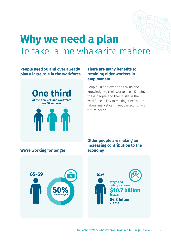### <span id="page-6-0"></span>**Why we need a plan** Te take ia me whakarite mahere

#### **People aged 50 and over already play a large role in the workforce**



#### **There are many benefits to retaining older workers in employment**

People 50 and over bring skills and knowledge to their workplaces. Keeping these people and their skills in the workforce is key to making sure that the labour market can meet the economy's future needs.

#### **We're working for longer**

**Older people are making an increasing contribution to the economy** 



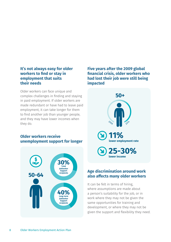#### **It's not always easy for older workers to find or stay in employment that suits their needs**

Older workers can face unique and complex challenges in finding and staying in paid employment. If older workers are made redundant or have had to leave paid employment, it can take longer for them to find another job than younger people, and they may have lower incomes when they do.

#### **Older workers receive unemployment support for longer**



#### **Five years after the 2009 global financial crisis, older workers who had lost their job were still being impacted**



#### **Age discrimination around work also affects many older workers**

It can be felt in terms of hiring, where assumptions are made about a person's suitability for the job, or in work where they may not be given the same opportunities for training and development, or where they may not be given the support and flexibility they need.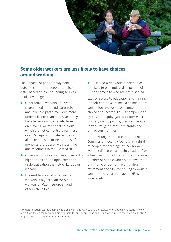

#### **Some older workers are less likely to have choices around working**

The impacts of poor employment outcomes for older people can also differ based on compounding sources of disadvantage.

- ▶ Older female workers are overrepresented in unpaid carer roles and low paid part-time work, more underutilised<sup>1</sup> than males, and may have fewer years to benefit from employer KiwiSaver contributions which are not compulsory for those over 65. Separation later in life can also mean losing more in terms of money and property, with less time and resources to rebuild wealth.
- ▶ Older Māori workers suffer consistently higher rates of unemployment and underutilisation than older European workers.
- ▶ Underutilisation of older Pacific workers is higher than for older workers of Māori, European and other ethnicities.

▶ Disabled older workers are half as likely to be employed as people of the same age who are not disabled.

Lack of access to education and training in their earlier years may also mean that some older workers have limited job choice and income. This is compounded by pay and equity gaps for older Māori, women, Pacific people, disabled people, former refugees, recent migrants and ethnic communities.

Te Ara Ahunga Ora – the Retirement Commission recently found that a third of people over the age of 65 who were working did so because they had to (from a financial point of view). For an increasing number of people who do not own their own home or do not have significant retirement savings, continuing to work in some capacity past the age of 65 is a necessity.

<sup>&</sup>lt;sup>1</sup> Underutilisation counts people who don't work but want to and are available to, people who want to work more than they already do and are available to, and people who can't start work immediately but are looking for jobs and can start within the next month.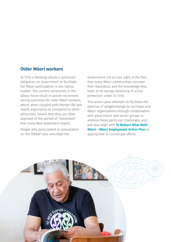#### **Older Māori workers**

Te Tiriti o Waitangi places a particular obligation on Government to facilitate full Māori participation in the labour market. The current constraints in the labour force result in poorer retirement saving outcomes for older Māori workers, which, when coupled with shorter life and health expectancy as compared to other ethnicities, means that they are often deprived of the period of "retirement" that many New Zealanders expect.

People who participated in consultation on the OWEAP also reminded the

Government not to lose sight of the fact that many Māori communities consider their kaumātua, and the knowledge they hold, to be taonga deserving of active protection under Te Tiriti.

This action plan attempts to facilitate the exercise of rangatiratanga by iwi/hapū and Māori organisations through collaboration with government and sector groups to address these particular challenges, and will also align with **[Te Mahere Whai Mahi](https://www.mbie.govt.nz/dmsdocument/18741-te-mahere-whai-mahi-maori-maori-employment-action-plan-summary-english)  [Māori – Māori Employment Action Plan](https://www.mbie.govt.nz/dmsdocument/18741-te-mahere-whai-mahi-maori-maori-employment-action-plan-summary-english)** as appropriate to coordinate efforts.

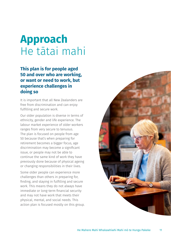### <span id="page-10-0"></span>**Approach** He tātai mahi

#### **This plan is for people aged 50 and over who are working, or want or need to work, but experience challenges in doing so**

It is important that all New Zealanders are free from discrimination and can enjoy fulfilling and secure work.

Our older population is diverse in terms of ethnicity, gender and life experience. The labour market experience of older workers ranges from very secure to tenuous. The plan is focused on people from age 50 because that's when preparing for retirement becomes a bigger focus, age discrimination may become a significant issue, or people may not be able to continue the same kind of work they have previously done because of physical ageing or changing responsibilities in their lives.

Some older people can experience more challenges than others in preparing for, finding, and staying in fulfilling and secure work. This means they do not always have immediate or long-term financial security and may not have work that meets their physical, mental, and social needs. This action plan is focused mostly on this group.

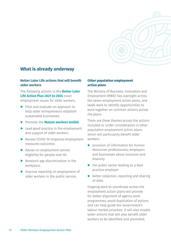

#### **What is already underway**

#### **Better Later Life actions that will benefit older workers**

The following actions in the **[Better Later](https://officeforseniors.govt.nz/assets/documents/our-work/better-later-life/Better-Later-Life-Strategy/Better-Later-Life-He-Oranga-Kaumatua-2019-to-2034.pdf)  [Life Action Plan](https://officeforseniors.govt.nz/assets/documents/our-work/better-later-life/Better-Later-Life-Strategy/Better-Later-Life-He-Oranga-Kaumatua-2019-to-2034.pdf) 2021 to 2024** cover employment issues for older workers.

- ▶ Pilot and evaluate an approach to help older entrepreneurs establish sustainable businesses.
- ▶ Promote the **[Mature workers toolkit](https://www.business.govt.nz/mature-workers-toolkit/)**.
- ▶ Lead good practice in the employment and support of older workers.
- ▶ Review COVID-19-response employment measures outcomes.
- ▶ Advise on employment service eligibility for people over 65.
- $\blacktriangleright$  Research age discrimination in the workplace.
- ▶ Improve reporting on employment of older workers in the public service.

#### **Other population employment action plans**

The Ministry of Business, Innovation and Employment (MBIE) has oversight across the seven employment action plans, and leads work to identify opportunities to work together on common actions across the plans.

There are three themes across the actions included or under consideration in other population employment action plans which will particularly benefit older workers:

- ▶ provision of information for Human Resources professionals, employers and businesses about inclusion and diversity
- $\blacktriangleright$  the public sector leading as a best practice employer
- $\triangleright$  better collection, reporting and sharing of data.

Ongoing work to coordinate across the employment action plans will provide for better alignment of agency work programmes, avoid duplication of actions and can help guide the Government's labour market priorities. It will also enable wider actions that will also benefit older workers to be identified and promoted.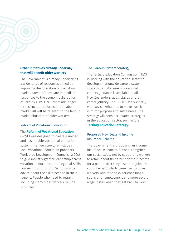

#### **Other initiatives already underway that will benefit older workers**

The Government is already undertaking a wide range of responses aimed at improving the operation of the labour market. Some of these are immediate responses to the economic disruption caused by COVID-19. Others are longerterm structural reforms to the labour market. All will be relevant to the labour market situation of older workers.

#### Reform of Vocational Education

#### The **[Reform of Vocational Education](https://www.mbie.govt.nz/have-your-say/income-insurance/)**

(RoVE) was designed to create a unified and sustainable vocational education system. The new structure includes local vocational education providers, Workforce Development Councils (WDCs) to give industry greater leadership across vocational education, and Regional Skills Leadership Groups (RSLGs) to provide advice about the skills needed in their regions. People who need to retrain, including many older workers, will be prioritised.

#### The Careers System Strategy

The Tertiary Education Commission (TEC) is working with the education sector to develop a nationwide careers system strategy to make sure professional careers guidance is available to all New Zealanders, at all stages of their career journey. The TEC will work closely with key stakeholders to make sure it is fit-for-purpose and sustainable. The strategy will consider related strategies in the education sector, such as the

#### **[Tertiary Education Strategy.](https://www.tec.govt.nz/focus/our-focus/tes/)**

#### Proposed New Zealand Income Insurance Scheme

The Government is proposing an [income](https://www.mbie.govt.nz/have-your-say/income-insurance/)  [insurance scheme](https://www.mbie.govt.nz/have-your-say/income-insurance/) to further strengthen our social safety net by supporting workers to retain about 80 percent of their income for a period after they lose their jobs. This could be particularly beneficial to older workers who tend to experience longer spells of unemployment and more severe wage losses when they get back to work.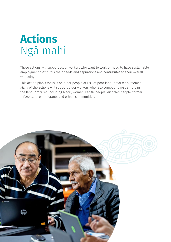# <span id="page-13-0"></span>**Actions** Ngā mahi

These actions will support older workers who want to work or need to have sustainable employment that fulfils their needs and aspirations and contributes to their overall wellbeing.

This action plan's focus is on older people at risk of poor labour market outcomes. Many of the actions will support older workers who face compounding barriers in the labour market, including Māori, women, Pacific people, disabled people, former refugees, recent migrants and ethnic communities.

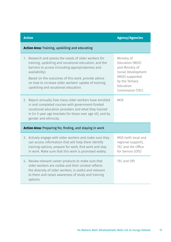| <b>Action Area: Training, upskilling and educating</b>          |                                                                                                                                                                                                                                                                                                                                            |                                                                                                                                                |
|-----------------------------------------------------------------|--------------------------------------------------------------------------------------------------------------------------------------------------------------------------------------------------------------------------------------------------------------------------------------------------------------------------------------------|------------------------------------------------------------------------------------------------------------------------------------------------|
| 1.                                                              | Research and assess the needs of older workers for<br>training, upskilling and vocational education, and the<br>barriers to access (including appropriateness and<br>availability).<br>Based on the outcomes of this work, provide advice<br>on how to increase older workers' uptake of training,<br>upskilling and vocational education. | Ministry of<br>Education (MOE)<br>and Ministry of<br>Social Development<br>(MSD) supported<br>by the Tertiary<br>Education<br>Commission (TEC) |
| 2.                                                              | Report annually how many older workers have enrolled<br>in and completed courses with government-funded<br>vocational education providers and what they trained<br>in (in 5-year age brackets for those over age 45), and by<br>gender and ethnicity.                                                                                      | <b>MOE</b>                                                                                                                                     |
| <b>Action Area:</b> Preparing for, finding, and staying in work |                                                                                                                                                                                                                                                                                                                                            |                                                                                                                                                |
|                                                                 | 3. Actively engage with older workers and make sure they<br>can access information that will help them identify<br>training options, prepare for work, find work and stay<br>in work. Make sure that this work is promoted widely.                                                                                                         | MSD (with local and<br>regional support),<br>TEC and the Office<br>for Seniors (OfS)                                                           |
|                                                                 | 4. Review relevant career products to make sure that<br>older workers are visible and their context reflects<br>the diversity of older workers, is useful and relevant<br>to them and raises awareness of study and training<br>options.                                                                                                   | TEC and OfS                                                                                                                                    |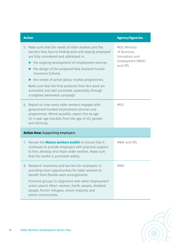| <b>Agency/Agencies</b>                                                          |
|---------------------------------------------------------------------------------|
| MSD, Ministry<br>of Business,<br>Innovation and<br>Employment (MBIE)<br>and OfS |
| <b>MSD</b>                                                                      |
|                                                                                 |
| MBIE and OfS                                                                    |
| <b>MBIE</b>                                                                     |
|                                                                                 |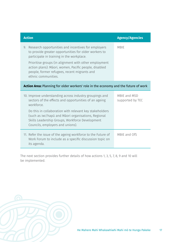| <b>Action</b>                                                                                                                                                                                                                                                                                                                                            | <b>Agency/Agencies</b>           |  |
|----------------------------------------------------------------------------------------------------------------------------------------------------------------------------------------------------------------------------------------------------------------------------------------------------------------------------------------------------------|----------------------------------|--|
| Research opportunities and incentives for employers<br>9.<br>to provide greater opportunities for older workers to<br>participate in training in the workplace.<br>Prioritise groups (in alignment with other employment<br>action plans): Māori, women, Pacific people, disabled<br>people, former refugees, recent migrants and<br>ethnic communities. | <b>MBIE</b>                      |  |
| Action Area: Planning for older workers' role in the economy and the future of work                                                                                                                                                                                                                                                                      |                                  |  |
| 10. Improve understanding across industry groupings and<br>sectors of the effects and opportunities of an ageing<br>workforce.<br>Do this in collaboration with relevant key stakeholders<br>(such as iwi/hapū and Māori organisations, Regional<br>Skills Leadership Groups, Workforce Development<br>Councils, employers and unions).                  | MBIE and MSD<br>supported by TEC |  |
| 11. Refer the issue of the ageing workforce to the Future of<br>Work Forum to include as a specific discussion topic on<br>its agenda.                                                                                                                                                                                                                   | MBIE and OfS                     |  |

The next section provides further details of how actions 1, 3, 5, 7, 8, 9 and 10 will be implemented.

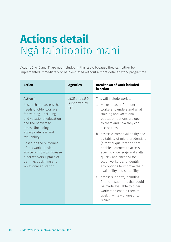# <span id="page-17-0"></span>**Actions detail** Ngā taipitopito mahi

Actions 2, 4, 6 and 11 are not included in this table because they can either be implemented immediately or be completed without a more detailed work programme.

| <b>Action</b>                                                                                                                                                                                                                                                                                                                                                                      | <b>Agencies</b>                            | <b>Breakdown of work included</b><br>in action                                                                                                                                                                                                                                                                                                                                                                                                                                                                                                                                                                                                                           |
|------------------------------------------------------------------------------------------------------------------------------------------------------------------------------------------------------------------------------------------------------------------------------------------------------------------------------------------------------------------------------------|--------------------------------------------|--------------------------------------------------------------------------------------------------------------------------------------------------------------------------------------------------------------------------------------------------------------------------------------------------------------------------------------------------------------------------------------------------------------------------------------------------------------------------------------------------------------------------------------------------------------------------------------------------------------------------------------------------------------------------|
| <b>Action 1</b><br>Research and assess the<br>needs of older workers<br>for training, upskilling<br>and vocational education,<br>and the barriers to<br>access (including<br>appropriateness and<br>availability).<br>Based on the outcomes<br>of this work, provide<br>advice on how to increase<br>older workers' uptake of<br>training, upskilling and<br>vocational education. | MOE and MSD,<br>supported by<br><b>TEC</b> | This will include work to:<br>a. make it easier for older<br>workers to understand what<br>training and vocational<br>education options are open<br>to them and how they can<br>access these<br>b. assess current availability and<br>suitability of micro-credentials<br>(a formal qualification that<br>enables learners to access<br>specific knowledge and skills<br>quickly and cheaply) for<br>older workers and identify<br>any options to improve their<br>availability and suitability<br>c. assess supports, including<br>financial supports, that could<br>be made available to older<br>workers to enable them to<br>upskill while working or to<br>retrain. |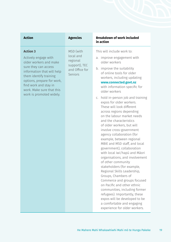| <b>Action</b>                                                                                                                                                                                                                                                     | <b>Agencies</b>                                                                  | <b>Breakdown of work included</b><br>in action                                                                                                                                                                                                                                                                                                                                                                                                                                                                                                                                                                                                                                                                                                                                                                                                                                                                                                                                                                                     |
|-------------------------------------------------------------------------------------------------------------------------------------------------------------------------------------------------------------------------------------------------------------------|----------------------------------------------------------------------------------|------------------------------------------------------------------------------------------------------------------------------------------------------------------------------------------------------------------------------------------------------------------------------------------------------------------------------------------------------------------------------------------------------------------------------------------------------------------------------------------------------------------------------------------------------------------------------------------------------------------------------------------------------------------------------------------------------------------------------------------------------------------------------------------------------------------------------------------------------------------------------------------------------------------------------------------------------------------------------------------------------------------------------------|
| <b>Action 3</b><br>Actively engage with<br>older workers and make<br>sure they can access<br>information that will help<br>them identify training<br>options, prepare for work,<br>find work and stay in<br>work. Make sure that this<br>work is promoted widely. | MSD (with<br>local and<br>regional<br>support), TEC<br>and Office for<br>Seniors | This will include work to:<br>a. improve engagement with<br>older workers<br>b. improve the suitability<br>of online tools for older<br>workers, including updating<br>www.connected.govt.nz<br>with information specific for<br>older workers<br>c. hold in-person job and training<br>expos for older workers.<br>These will look different<br>across regions depending<br>on the labour market needs<br>and the characteristics<br>of older workers, but will<br>involve cross-government<br>agency collaboration (for<br>example, between regional<br>MBIE and MSD staff, and local<br>government), collaboration<br>with local iwi/hapū and Māori<br>organisations, and involvement<br>of other community<br>stakeholders (for example,<br>Regional Skills Leadership,<br>Groups, Chambers of<br>Commerce and groups focused<br>on Pacific and other ethnic<br>communities, including former<br>refugees). Importantly, these<br>expos will be developed to be<br>a comfortable and engaging<br>experience for older workers. |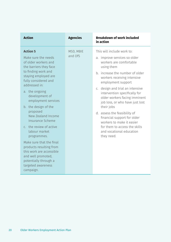| <b>Action</b>                                                                                                                                                                                                                                                                                                                                                                                                                                                                                                                                             | <b>Agencies</b>      | <b>Breakdown of work included</b><br>in action                                                                                                                                                                                                                                                                                                                                                                                                                                                                            |
|-----------------------------------------------------------------------------------------------------------------------------------------------------------------------------------------------------------------------------------------------------------------------------------------------------------------------------------------------------------------------------------------------------------------------------------------------------------------------------------------------------------------------------------------------------------|----------------------|---------------------------------------------------------------------------------------------------------------------------------------------------------------------------------------------------------------------------------------------------------------------------------------------------------------------------------------------------------------------------------------------------------------------------------------------------------------------------------------------------------------------------|
| <b>Action 5</b><br>Make sure the needs<br>of older workers and<br>the barriers they face<br>to finding work and<br>staying employed are<br>fully considered and<br>addressed in:<br>a. the ongoing<br>development of<br>employment services<br>b. the design of the<br>proposed<br>New Zealand Income<br>Insurance Scheme<br>c. the review of active<br>labour market<br>programmes.<br>Make sure that the final<br>products resulting from<br>this work are accessible<br>and well promoted,<br>potentially through a<br>targeted awareness<br>campaign. | MSD, MBIE<br>and OfS | This will include work to:<br>a. improve services so older<br>workers are comfortable<br>using them<br>b. increase the number of older<br>workers receiving intensive<br>employment support<br>c. design and trial an intensive<br>intervention specifically for<br>older workers facing imminent<br>job loss, or who have just lost<br>their jobs<br>d. assess the feasibility of<br>financial support for older<br>workers to make it easier<br>for them to access the skills<br>and vocational education<br>they need. |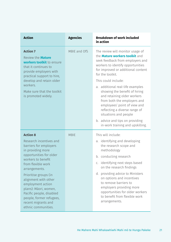| <b>Action</b>                                                                                                                                                                                                                                                                                                                                                                          | <b>Agencies</b> | <b>Breakdown of work included</b><br>in action                                                                                                                                                                                                                                                                                                                                                                                          |
|----------------------------------------------------------------------------------------------------------------------------------------------------------------------------------------------------------------------------------------------------------------------------------------------------------------------------------------------------------------------------------------|-----------------|-----------------------------------------------------------------------------------------------------------------------------------------------------------------------------------------------------------------------------------------------------------------------------------------------------------------------------------------------------------------------------------------------------------------------------------------|
| <b>Action 7</b><br>Review the <b>Mature</b><br>workers toolkit to ensure<br>that it continues to<br>provide employers with<br>practical support to hire,<br>develop and retain older<br>workers.<br>Make sure that the toolkit<br>is promoted widely.                                                                                                                                  | MBIE and OfS    | The review will monitor usage of<br>the <b>Mature workers toolkit</b> and<br>seek feedback from employers and<br>workers to identify opportunities<br>for improved or additional content<br>for the toolkit.<br>This could include:<br>a. additional real-life examples<br>showing the benefit of hiring<br>and retaining older workers<br>from both the employers and<br>employees' point of view and<br>reflecting a diverse range of |
|                                                                                                                                                                                                                                                                                                                                                                                        |                 | situations and people<br>b. advice and tips on providing<br>in-work training and upskilling.                                                                                                                                                                                                                                                                                                                                            |
| <b>Action 8</b><br>Research incentives and<br>barriers for employers<br>in providing more<br>opportunities for older<br>workers to benefit<br>from flexible work<br>arrangements.<br>Prioritise groups (in<br>alignment with other<br>employment action<br>plans): Māori, women,<br>Pacific people, disabled<br>people, former refugees,<br>recent migrants and<br>ethnic communities. | <b>MBIE</b>     | This will include:<br>identifying and developing<br>a.<br>the research scope and<br>methodology<br>b. conducting research<br>c. identifying next steps based<br>on the research findings<br>d. providing advice to Ministers<br>on options and incentives<br>to remove barriers to<br>employers providing more<br>opportunities for older workers<br>to benefit from flexible work<br>arrangements.                                     |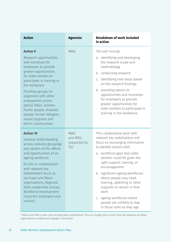| <b>Action</b>                                                                                                                                                                                                                                                                                                                                                                                 | <b>Agencies</b>                                       | <b>Breakdown of work included</b><br>in action                                                                                                                                                                                                                                                                                                                                                                                                                                    |
|-----------------------------------------------------------------------------------------------------------------------------------------------------------------------------------------------------------------------------------------------------------------------------------------------------------------------------------------------------------------------------------------------|-------------------------------------------------------|-----------------------------------------------------------------------------------------------------------------------------------------------------------------------------------------------------------------------------------------------------------------------------------------------------------------------------------------------------------------------------------------------------------------------------------------------------------------------------------|
| <b>Action 9</b><br>Research opportunities<br>and incentives for<br>employers to provide<br>greater opportunities<br>for older workers to<br>participate in training in<br>the workplace.<br>Prioritise groups (in<br>alignment with other<br>employment action<br>plans): Māori, women,<br>Pacific people, disabled<br>people, former refugees,<br>recent migrants and<br>ethnic communities. | <b>MBIE</b>                                           | This will include:<br>identifying and developing<br>a.<br>the research scope and<br>methodology<br>b. conducting research<br>identifying next steps based<br>C.<br>on the research findings<br>d. providing advice on<br>opportunities and incentives<br>for employers to provide<br>greater opportunities for<br>older workers to participate in<br>training in the workplace.                                                                                                   |
| <b>Action 10</b><br>Improve understanding<br>across, industry groupings<br>and sectors of the effects<br>and opportunities of an<br>ageing workforce.<br>Do this in collaboration<br>with relevant key<br>stakeholders (such as<br>iwi/hapū and Māori<br>organisations, Regional<br>Skills Leadership Groups,<br>Workforce Development<br>Councils <sup>2</sup> , employers and<br>unions).   | <b>MBIE</b><br>and MSD,<br>supported by<br><b>TEC</b> | This collaborative work with<br>relevant key stakeholders will<br>focus on exchanging information<br>to identify sectors with:<br>workforce gaps that older<br>a.<br>workers could fill given the<br>right support, training, or<br>encouragement<br>b. significant ageing workforces<br>where people may need<br>training, upskilling or other<br>supports to remain in that<br>work<br>c. ageing workforces where<br>people are unlikely to stay<br>in those roles as they age. |

² RSLGs and WDCs have only recently been established. This is a longer-term action that will develop as these organisations embed and engage in this work.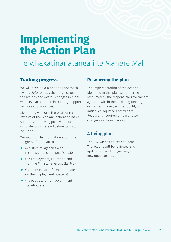### <span id="page-22-0"></span>**Implementing the Action Plan**

### Te whakatinanatanga i te Mahere Mahi

#### **Tracking progress**

We will develop a monitoring approach by mid-2022 to track the progress on the actions and overall changes in older workers' participation in training, support services and work itself.

Monitoring will form the basis of regular reviews of the plan and actions to make sure they are having positive impacts, or to identify where adjustments should be made.

We will provide information about the progress of the plan to:

- ▶ Ministers of agencies with responsibilities for specific actions
- ▶ the Employment, Education and Training Ministerial Group (EETMG)
- ▶ Cabinet (as part of regular updates on the Employment Strategy)
- $\blacktriangleright$  the public and non-government stakeholders.

#### **Resourcing the plan**

The implementation of the actions identified in this plan will either be resourced by the responsible government agencies within their existing funding, or further funding will be sought, or initiatives adjusted accordingly. Resourcing requirements may also change as actions develop.

#### **A living plan**

The OWEAP has no set end date. The actions will be reviewed and updated as work progresses, and new opportunities arise.